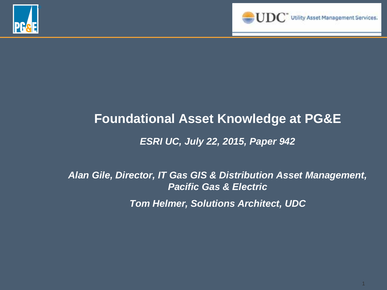



### **Foundational Asset Knowledge at PG&E** *ESRI UC, July 22, 2015, Paper 942*

*Alan Gile, Director, IT Gas GIS & Distribution Asset Management, Pacific Gas & Electric Tom Helmer, Solutions Architect, UDC*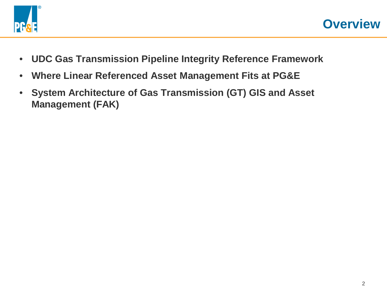

- **UDC Gas Transmission Pipeline Integrity Reference Framework**
- **Where Linear Referenced Asset Management Fits at PG&E**
- **System Architecture of Gas Transmission (GT) GIS and Asset Management (FAK)**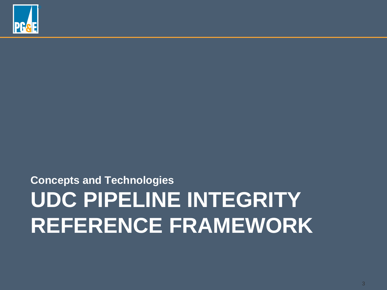## **UDC PIPELINE INTEGRITY REFERENCE FRAMEWORK Concepts and Technologies**

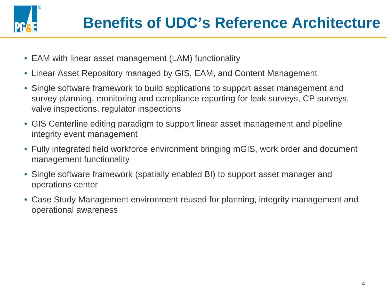

- EAM with linear asset management (LAM) functionality
- Linear Asset Repository managed by GIS, EAM, and Content Management
- Single software framework to build applications to support asset management and survey planning, monitoring and compliance reporting for leak surveys, CP surveys, valve inspections, regulator inspections
- GIS Centerline editing paradigm to support linear asset management and pipeline integrity event management
- Fully integrated field workforce environment bringing mGIS, work order and document management functionality
- Single software framework (spatially enabled BI) to support asset manager and operations center
- Case Study Management environment reused for planning, integrity management and operational awareness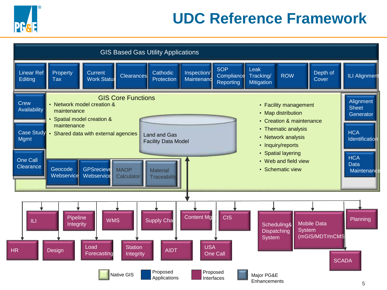

### **UDC Reference Framework**

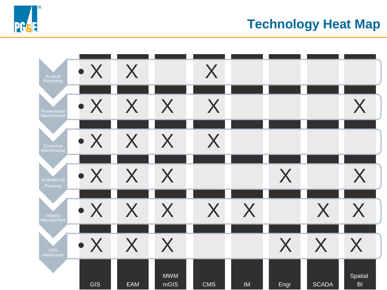#### **Technology Heat Map**



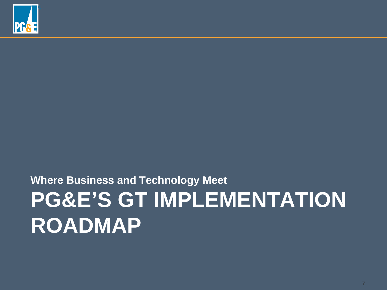

## **PG&E'S GT IMPLEMENTATION ROADMAP Where Business and Technology Meet**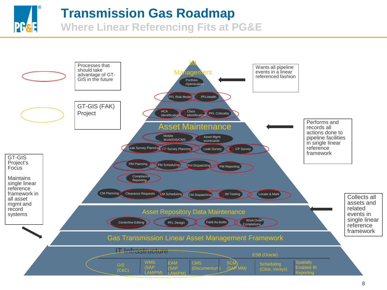#### **Transmission Gas Roadmap**

**PG**&E

**Where Linear Referencing Fits at PG&E**

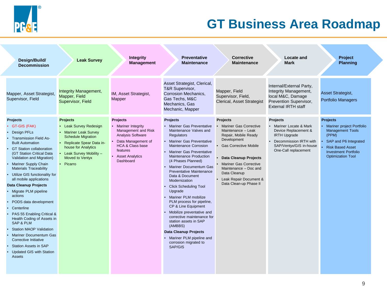

#### **GT Business Area Roadmap**

| Design/Build/<br><b>Decommission</b>                                                                                                                                                                                                                                                                                                                                                                                                                                                                                                                                                                                                                                                               | <b>Leak Survey</b>                                                                                                                                                                                               | <b>Integrity</b><br><b>Management</b>                                                                                                                                                             | <b>Preventative</b><br><b>Maintenance</b>                                                                                                                                                                                                                                                                                                                                                                                                                                                                                                                                                                                                                     | <b>Corrective</b><br><b>Maintenance</b>                                                                                                                                                                                                                                          | Locate and<br><b>Mark</b>                                                                                                                                         | <b>Project</b><br><b>Planning</b>                                                                                                                                                               |
|----------------------------------------------------------------------------------------------------------------------------------------------------------------------------------------------------------------------------------------------------------------------------------------------------------------------------------------------------------------------------------------------------------------------------------------------------------------------------------------------------------------------------------------------------------------------------------------------------------------------------------------------------------------------------------------------------|------------------------------------------------------------------------------------------------------------------------------------------------------------------------------------------------------------------|---------------------------------------------------------------------------------------------------------------------------------------------------------------------------------------------------|---------------------------------------------------------------------------------------------------------------------------------------------------------------------------------------------------------------------------------------------------------------------------------------------------------------------------------------------------------------------------------------------------------------------------------------------------------------------------------------------------------------------------------------------------------------------------------------------------------------------------------------------------------------|----------------------------------------------------------------------------------------------------------------------------------------------------------------------------------------------------------------------------------------------------------------------------------|-------------------------------------------------------------------------------------------------------------------------------------------------------------------|-------------------------------------------------------------------------------------------------------------------------------------------------------------------------------------------------|
| Mapper, Asset Strategist,<br>Supervisor, Field                                                                                                                                                                                                                                                                                                                                                                                                                                                                                                                                                                                                                                                     | <b>Integrity Management,</b><br>Mapper, Field<br>Supervisor, Field                                                                                                                                               | IM, Asset Strategist,<br><b>Mapper</b>                                                                                                                                                            | Asset Strategist, Clerical,<br>T&R Supervisor,<br><b>Corrosion Mechanics.</b><br>Gas Techs, M&C<br>Mechanics, Gas<br>Mechanic, Mapper                                                                                                                                                                                                                                                                                                                                                                                                                                                                                                                         | Mapper, Field<br>Supervisor, Field,<br>Clerical, Asset Strategist                                                                                                                                                                                                                | Internal/External Party,<br>Integrity Management,<br>local M&C, Damage<br>Prevention Supervisor,<br><b>External IRTH staff</b>                                    | Asset Strategist,<br><b>Portfolio Managers</b>                                                                                                                                                  |
| <b>Projects</b><br>• GT-GIS (FAK)<br><b>Design PFLs</b><br><b>Transmission Field As-</b><br><b>Built Automation</b><br><b>GT Station collaboration</b><br>(GT Station Critical Data<br>Validation and Migration)<br>Mariner Supply Chain<br><b>Materials Traceability</b><br>• Utilize GIS functionality for<br>all mobile applications<br>Data Cleanup Projects<br>• Migrate PLM pipeline<br>actions<br>PODS data development<br>Centerline<br>PAS 55 Enabling Critical &<br>Health Coding of Assets in<br><b>SAP &amp; PLM</b><br><b>Station MAOP Validation</b><br>Mariner Documentum Gas<br>Corrective Initiative<br><b>Station Assets in SAP</b><br><b>Updated GIS with Station</b><br>Assets | <b>Projects</b><br>• Leak Survey Redesign<br>• Mariner Leak Survey<br><b>Schedule Migration</b><br>• Replicate Spear Data in-<br>house for Analytics<br>• Leak Survey Mobility -<br>Moved to Ventyx<br>• Picarro | <b>Projects</b><br>• Mariner Integrity<br>Management and Risk<br><b>Analysis Software</b><br>Data Management of<br><b>HCA &amp; Class base</b><br>features<br><b>Asset Analytics</b><br>Dashboard | <b>Projects</b><br>• Mariner Gas Preventative<br>Maintenance Valves and<br><b>Regulators</b><br><b>Mariner Gas Preventative</b><br>Maintenance Corrosion<br>• Mariner Gas Preventative<br>Maintenance Production<br>(4 Phases Planned)<br>Mariner Documentum Gas<br><b>Preventative Maintenance</b><br>Data & Document<br>Modernization<br><b>Click Scheduling Tool</b><br>Upgrade<br>Mariner PLM mobilize<br>PLM process for pipeline,<br>CP & Line Equipment<br>Mobilize preventative and<br>corrective maintenance for<br>station assets in SAP<br>(AMBBS)<br><b>Data Cleanup Projects</b><br>Mariner PLM pipeline and<br>corrosion migrated to<br>SAP/GIS | Projects<br>• Mariner Gas Corrective<br>Maintenance - Leak<br>Repair, Mobile Ready<br>Development<br>• Gas Corrective Mobile<br>Data Cleanup Projects<br>• Mariner Gas Corrective<br>Maintenance - Doc and<br>Data Cleanup<br>• Leak Repair Document &<br>Data Clean-up Phase II | Projects<br>• Mariner Locate & Mark<br>Device Replacement &<br><b>IRTH Upgrade</b><br>• Decommission IRTH with<br>SAP/Ventyx/GIS in-house<br>One-Call replacement | <b>Projects</b><br>Mariner project Portfolio<br><b>Management Tools</b><br>(PPM)<br>SAP and P6 Integrated<br><b>Risk Based Asset</b><br><b>Investment Portfolio</b><br><b>Optimization Tool</b> |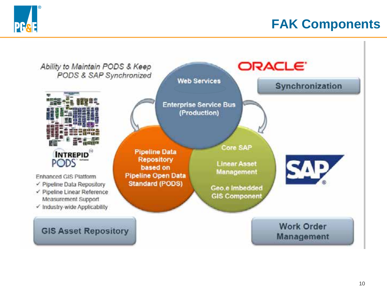

#### **FAK Components**

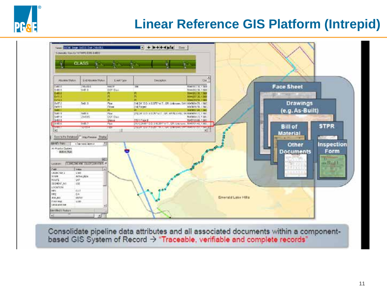

#### **Linear Reference GIS Platform (Intrepid)**



Consolidate pipeline data attributes and all associated documents within a component-<br>based GIS System of Record  $\rightarrow$  "Traceable, verifiable and complete records"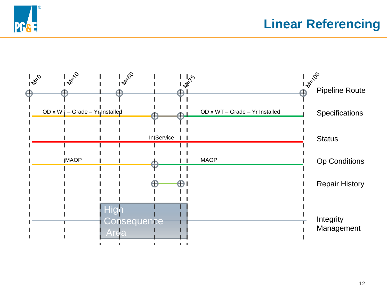

**Linear Referencing**

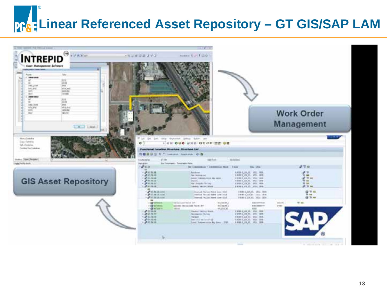# **Linear Referenced Asset Repository – GT GIS/SAP LAM**

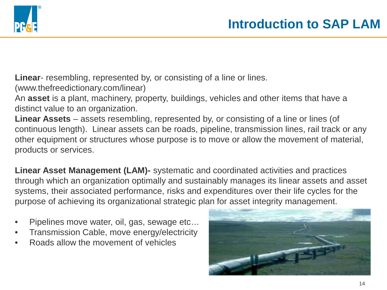

**Linear**- resembling, represented by, or consisting of a line or lines.

(www.thefreedictionary.com/linear)

An **asset** is a plant, machinery, property, buildings, vehicles and other items that have a distinct value to an organization.

**Linear Assets** – assets resembling, represented by, or consisting of a line or lines (of continuous length). Linear assets can be roads, pipeline, transmission lines, rail track or any other equipment or structures whose purpose is to move or allow the movement of material, products or services.

**Linear Asset Management (LAM)-** systematic and coordinated activities and practices through which an organization optimally and sustainably manages its linear assets and asset systems, their associated performance, risks and expenditures over their life cycles for the purpose of achieving its organizational strategic plan for asset integrity management.

- Pipelines move water, oil, gas, sewage etc…
- Transmission Cable, move energy/electricity
- Roads allow the movement of vehicles

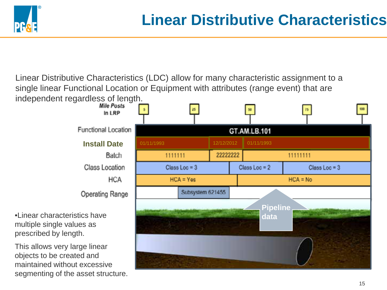

Linear Distributive Characteristics (LDC) allow for many characteristic assignment to a single linear Functional Location or Equipment with attributes (range event) that are independent regardless of length.

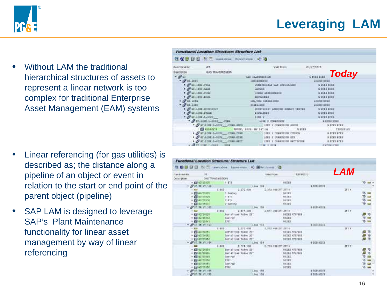#### **Leveraging LAM**



• Without LAM the traditional hierarchical structures of assets to represent a linear network is too complex for traditional Enterprise Asset Management (EAM) systems

- Linear referencing (for gas utilities) is described as; the distance along a pipeline of an object or event in relation to the start or end point of the parent object (pipeline)
- SAP LAM is designed to leverage SAP's Plant Maintenance functionality for linear asset management by way of linear referencing

| Functional Location Structure: Structure List |                                       |  |                                  |                                                                                                                                                                                                                               |               |                                                                                                                                                                                                                                |                                |
|-----------------------------------------------|---------------------------------------|--|----------------------------------|-------------------------------------------------------------------------------------------------------------------------------------------------------------------------------------------------------------------------------|---------------|--------------------------------------------------------------------------------------------------------------------------------------------------------------------------------------------------------------------------------|--------------------------------|
| 优心思 [ii ] 取 T Limit store Expectation of La   |                                       |  |                                  |                                                                                                                                                                                                                               |               |                                                                                                                                                                                                                                |                                |
| Pentters/Tec.                                 | $-67$                                 |  |                                  | Video Recent                                                                                                                                                                                                                  |               | OLLET/JOLT                                                                                                                                                                                                                     |                                |
| <b>Description</b>                            | <b>CONTRACTOR</b><br>GAS TRANSPESSION |  |                                  |                                                                                                                                                                                                                               |               |                                                                                                                                                                                                                                |                                |
| $ \mathcal{Q}$ ii                             |                                       |  | GLI INAMINISTORI                 |                                                                                                                                                                                                                               | <b>ORCHER</b> | <b>Today</b>                                                                                                                                                                                                                   |                                |
| $-94.01$                                      |                                       |  | 120723-00213                     |                                                                                                                                                                                                                               |               | <b>Q ECOS RIES</b>                                                                                                                                                                                                             |                                |
| $\cdot$ $\vartheta$ in minimage               |                                       |  |                                  | CONSTITUES GAN DISCOUNDED                                                                                                                                                                                                     |               | <b>G-DOES ROLL</b>                                                                                                                                                                                                             |                                |
| · O WILDRESS                                  |                                       |  | <b>CERGER</b>                    |                                                                                                                                                                                                                               |               | <b>U ECES KIER</b>                                                                                                                                                                                                             |                                |
| $+29.1881.0062$                               |                                       |  |                                  | OTHER INSISCHMENTS                                                                                                                                                                                                            |               | <b>GROUP ROOM</b>                                                                                                                                                                                                              |                                |
| · of all list and                             |                                       |  | <b>SECONDERS</b>                 |                                                                                                                                                                                                                               |               | <b>GREEKEES</b>                                                                                                                                                                                                                |                                |
| $-200.103$                                    |                                       |  | LIG/CHE CHERALIZONS              |                                                                                                                                                                                                                               |               | G COLLECTI                                                                                                                                                                                                                     |                                |
| of aritist                                    |                                       |  | <b>FIRELINGS</b>                 |                                                                                                                                                                                                                               |               | <b>Q ACRE BITES</b>                                                                                                                                                                                                            |                                |
|                                               | * @ 31.11m.00310027                   |  |                                  | DOUSTLOSSY ELBOURE ENGINE CRITICAL                                                                                                                                                                                            |               | <b>S SCES KCER</b>                                                                                                                                                                                                             |                                |
| . OF OT LINE FORDE                            | $-20.1100.1 - 3002$                   |  | <b>ASPECTER</b><br><b>LINE 2</b> |                                                                                                                                                                                                                               |               | <b>STOLEROOM</b><br>G ROED ROES                                                                                                                                                                                                |                                |
|                                               |                                       |  |                                  |                                                                                                                                                                                                                               |               | <b>G ECON ROLL</b>                                                                                                                                                                                                             |                                |
|                                               |                                       |  |                                  |                                                                                                                                                                                                                               |               | * OF RELEASED TO A CONTRACT AND THE RELEASED OF A RELEASED AND TO A RELEASE A RELEASED AND TO A RELEASED A RELEASED AT A RELEASED AND DESCRIPTION OF A RELEASED AND DESCRIPTION OF A RELEASED AND DESCRIPTION OF A RELEASED AN |                                |
|                                               |                                       |  |                                  |                                                                                                                                                                                                                               |               |                                                                                                                                                                                                                                | TYDDG81.25                     |
|                                               |                                       |  |                                  |                                                                                                                                                                                                                               |               | <b>GIORN ROLL</b>                                                                                                                                                                                                              |                                |
|                                               |                                       |  |                                  |                                                                                                                                                                                                                               |               |                                                                                                                                                                                                                                | <b>E CORN BURN</b>             |
|                                               |                                       |  |                                  |                                                                                                                                                                                                                               |               |                                                                                                                                                                                                                                | G DOME ROLL                    |
|                                               |                                       |  |                                  | and an example in class of the control of the control of the control of the control of the control of the control of the control of the control of the control of the control of the control of the control of the control of |               |                                                                                                                                                                                                                                | and all programs and companies |

|                                 | 在 GBI 绿田 (N) Lineauton Insertence ( Ministeres 国 |                            |                       | <i><b>LAM</b></i> |            |
|---------------------------------|--------------------------------------------------|----------------------------|-----------------------|-------------------|------------|
| Functionalitie<br>OF.           |                                                  | <b><i>UNION EVENIR</i></b> | 1,8140,013            |                   |            |
| Deteroit on ONS TRANSBURG ON    |                                                  |                            |                       |                   |            |
| <b>F DE 42225135</b>            | 7.171                                            | 98189                      |                       |                   |            |
| $-90.78.17.54$                  |                                                  | 1,004 705                  | <b>A DODG BOTH</b>    |                   |            |
| $\frac{1}{2}$                   | 1.909<br>2,272,838                               | 2.272.000.0<br>$JTT =$     |                       | 詳して               |            |
| · 图 47/25/2011                  | 4. CANTINO                                       | $9.4$ (F)]                 |                       |                   |            |
| · GLASPINSKI                    | 1 875                                            | <b>WEIEE</b>               |                       |                   |            |
| <b>A 435 427-791 30</b>         | 2.415                                            | <b>WEIGH</b>               |                       |                   |            |
| $+1344725131$                   | 2 Calling                                        | 9577                       |                       |                   |            |
| · @ \$5.39.15.160               |                                                  | 11 Sept. 1958.             | <b>BRIES ROPA</b>     |                   |            |
| <b>CALL CONTROL</b>             | 2.000 2.477.000 2.677.000 27.271 8               |                            |                       | 331.7             |            |
| · Ed 41724000                   | Surtaficed Walter 291                            |                            | <b>SECRE STIFBER</b>  |                   |            |
| · Ed 42725142                   | Easterd                                          |                            | <b>SEDES </b>         |                   |            |
| + 国 4225142                     | <b>ETUT</b>                                      | 4401                       |                       |                   |            |
| $-90.0000$                      |                                                  | 1.184 HTL                  | <b>WEDDES ROES</b>    |                   |            |
| <b>CONTRACTOR</b>               | 1.010 7.077 416                                  | 2,922,486,2FT 2FT 9        |                       | 371.7             |            |
| <b>A CHEATCHERE</b>             | Shrin/tred Holve 2011                            |                            | <b>NETES MOVINGS</b>  |                   | のかす<br>この後 |
| <b>FEB 40724092</b>             | Annieltzed Nation 2011                           |                            | <b>SEIZE K777BIB</b>  |                   |            |
| 4 128 4373 656 E                | Apricilized Nation 38"                           |                            | <b>SEIZE ATTRES</b>   |                   |            |
| * @ 01.18.17.184                | TO A RESIDENCE OF LAND TO A                      |                            | 9 DOES BEER           |                   |            |
| - 88<br>and the control of      | 8.800 0.774.108                                  | 1.724.100.0FT.2FT+         |                       | 351.7             |            |
| <b>. 03-42724954</b>            | Bertallied Wales 22"                             |                            | <b>NECES ATTREE</b>   |                   | 1444       |
| · EN ALPSONAL                   | Gartalized Fairs 2011                            | <b>NATES:</b>              | <b>BECKE HISTORIA</b> |                   |            |
| · ES AZZELLAN                   | Eastling to the                                  | <b>NATES</b>               |                       |                   |            |
| · El satmitte.<br>+ Di alterato | <b>ETNICO</b>                                    |                            |                       |                   |            |
| · Gainers                       | <b>Gamnet</b><br>CTL2                            | $-95188$<br>$-9.0101$      |                       |                   | 社会会会       |
| + 2P 81. TH VY. 188             |                                                  | 1.182.155.                 | <b>BRIEN BORK</b>     |                   |            |
| ST. TH. YV. 958                 |                                                  | 1,1mi 1956                 | a pix i ecci.         |                   |            |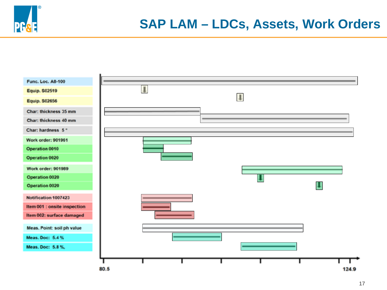

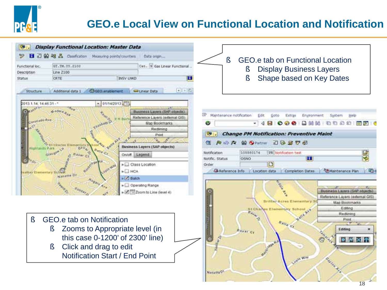

#### **GEO.e Local View on Functional Location and Notification**

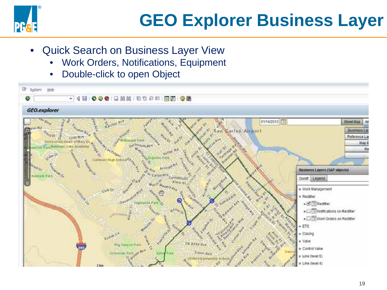

- **Quick Search on Business Layer View** 
	- Work Orders, Notifications, Equipment
	- Double-click to open Object

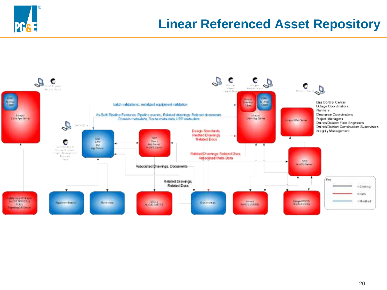![](_page_19_Picture_0.jpeg)

#### **Linear Referenced Asset Repository**

![](_page_19_Figure_2.jpeg)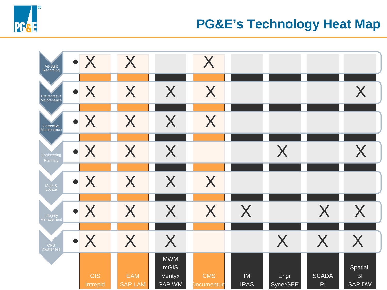![](_page_20_Picture_0.jpeg)

#### **PG&E's Technology Heat Map**

![](_page_20_Figure_2.jpeg)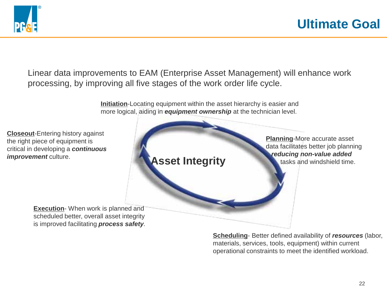![](_page_21_Picture_0.jpeg)

Linear data improvements to EAM (Enterprise Asset Management) will enhance work processing, by improving all five stages of the work order life cycle.

> **Initiation**-Locating equipment within the asset hierarchy is easier and more logical, aiding in *equipment ownership* at the technician level.

**Closeout**-Entering history against the right piece of equipment is critical in developing a *continuous improvement* culture.

![](_page_21_Picture_5.jpeg)

**Execution**- When work is planned and scheduled better, overall asset integrity is improved facilitating *process safety.*

> **Scheduling**- Better defined availability of *resources* (labor, materials, services, tools, equipment) within current operational constraints to meet the identified workload.